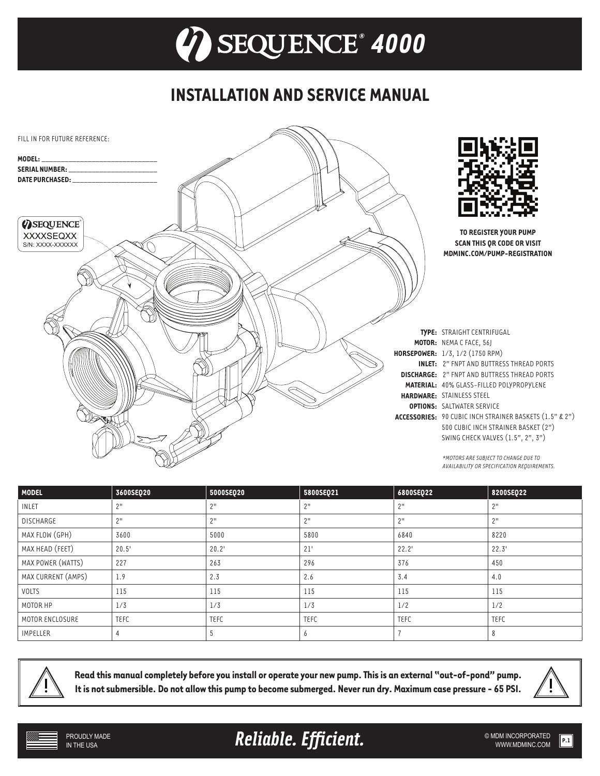## **INSTALLATION AND SERVICE MANUAL**



| <b>MODEL</b>       | 3600SEQ20       | 5000SEQ20   | 5800SEQ21   | 6800SEQ22   | 8200SEQ22   |
|--------------------|-----------------|-------------|-------------|-------------|-------------|
| <b>INLET</b>       | 2 <sup>11</sup> | 2"          | 2"          | 2"          | 2"          |
| <b>DISCHARGE</b>   | 2"              | 2"          | 2"          | 2"          | 2"          |
| MAX FLOW (GPH)     | 3600            | 5000        | 5800        | 6840        | 8220        |
| MAX HEAD (FEET)    | 20.5'           | 20.2'       | 21'         | 22.2'       | 22.3'       |
| MAX POWER (WATTS)  | 227             | 263         | 296         | 376         | 450         |
| MAX CURRENT (AMPS) | 1.9             | 2.3         | 2.6         | 3.4         | 4.0         |
| VOLTS              | 115             | 115         | 115         | 115         | 115         |
| MOTOR HP           | 1/3             | 1/3         | 1/3         | 1/2         | 1/2         |
| MOTOR ENCLOSURE    | <b>TEFC</b>     | <b>TEFC</b> | <b>TEFC</b> | <b>TEFC</b> | <b>TEFC</b> |
| <b>IMPELLER</b>    |                 |             | 6           |             |             |



**Read this manual completely before you install or operate your new pump. This is an external "out-of-pond" pump. It is not submersible. Do not allow this pump to become submerged. Never run dry. Maximum case pressure - 65 PSI.**



Reliable. Efficient. **Example 2018** SMDM INCORPORATED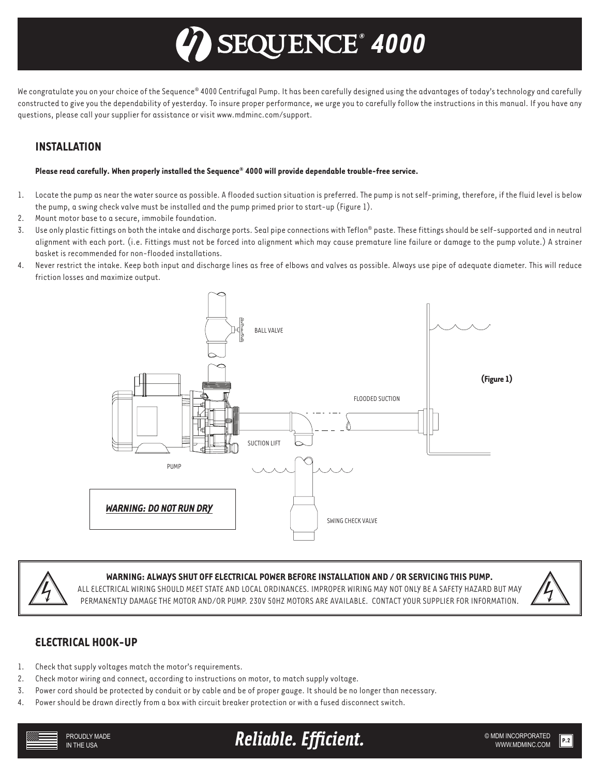# *® 4000*

We congratulate you on your choice of the Sequence® 4000 Centrifugal Pump. It has been carefully designed using the advantages of today's technology and carefully constructed to give you the dependability of yesterday. To insure proper performance, we urge you to carefully follow the instructions in this manual. If you have any questions, please call your supplier for assistance or visit www.mdminc.com/support.

## **INSTALLATION**

#### **Please read carefully. When properly installed the Sequence® 4000 will provide dependable trouble-free service.**

- 1. Locate the pump as near the water source as possible. A flooded suction situation is preferred. The pump is not self-priming, therefore, if the fluid level is below the pump, a swing check valve must be installed and the pump primed prior to start-up (Figure 1).
- 2. Mount motor base to a secure, immobile foundation.
- 3. Use only plastic fittings on both the intake and discharge ports. Seal pipe connections with Teflon® paste. These fittings should be self-supported and in neutral alignment with each port. (i.e. Fittings must not be forced into alignment which may cause premature line failure or damage to the pump volute.) A strainer basket is recommended for non-flooded installations.
- 4. Never restrict the intake. Keep both input and discharge lines as free of elbows and valves as possible. Always use pipe of adequate diameter. This will reduce friction losses and maximize output.





#### **WARNING: ALWAYS SHUT OFF ELECTRICAL POWER BEFORE INSTALLATION AND / OR SERVICING THIS PUMP.**

ALL ELECTRICAL WIRING SHOULD MEET STATE AND LOCAL ORDINANCES. IMPROPER WIRING MAY NOT ONLY BE A SAFETY HAZARD BUT MAY PERMANENTLY DAMAGE THE MOTOR AND/OR PUMP. 230V 50HZ MOTORS ARE AVAILABLE. CONTACT YOUR SUPPLIER FOR INFORMATION.



#### **ELECTRICAL HOOK-UP**

- 1. Check that supply voltages match the motor's requirements.
- 2. Check motor wiring and connect, according to instructions on motor, to match supply voltage.
- 3. Power cord should be protected by conduit or by cable and be of proper gauge. It should be no longer than necessary.
- 4. Power should be drawn directly from a box with circuit breaker protection or with a fused disconnect switch.

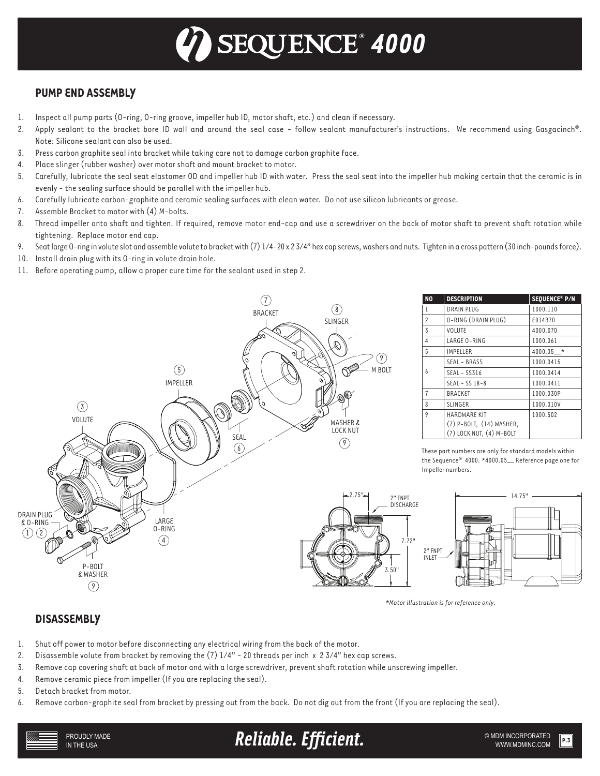## *® 4000*

## **PUMP END ASSEMBLY**

- 1. Inspect all pump parts (O-ring, O-ring groove, impeller hub ID, motor shaft, etc.) and clean if necessary.
- 2. Apply sealant to the bracket bore ID wall and around the seal case follow sealant manufacturer's instructions. We recommend using Gasgacinch®. Note: Silicone sealant can also be used.
- 3. Press carbon graphite seal into bracket while taking care not to damage carbon graphite face.
- 4. Place slinger (rubber washer) over motor shaft and mount bracket to motor.
- 5. Carefully, lubricate the seal seat elastomer OD and impeller hub ID with water. Press the seal seat into the impeller hub making certain that the ceramic is in evenly - the sealing surface should be parallel with the impeller hub.
- 6. Carefully lubricate carbon-graphite and ceramic sealing surfaces with clean water. Do not use silicon lubricants or grease.
- 7. Assemble Bracket to motor with (4) M-bolts.
- 8. Thread impeller onto shaft and tighten. If required, remove motor end-cap and use a screwdriver on the back of motor shaft to prevent shaft rotation while tightening. Replace motor end cap.
- 9. Seat large O-ring in volute slot and assemble volute to bracket with (7) 1/4-20 x 2 3/4" hex cap screws, washers and nuts. Tighten in a cross pattern (30 inch-pounds force).
- 10. Install drain plug with its O-ring in volute drain hole.
- 11. Before operating pump, allow a proper cure time for the sealant used in step 2.



| <b>NO</b>      | <b>DESCRIPTION</b>       | SEQUENCE® P/N |
|----------------|--------------------------|---------------|
| 1              | <b>DRAIN PLUG</b>        | 1000.110      |
| 2              | O-RING (DRAIN PLUG)      | E014B70       |
| 3              | VOLUTE                   | 4000.070      |
| 4              | LARGE O-RING             | 1000.061      |
| 5              | <b>IMPELLER</b>          | 4000.05 *     |
| 6              | SEAL - BRASS             | 1000.0415     |
|                | SEAL - SS316             | 1000.0414     |
|                | SEAL - SS 18-8           | 1000.0411     |
| $\overline{7}$ | <b>BRACKET</b>           | 1000.030P     |
| 8              | <b>SLINGER</b>           | 1000.010V     |
| 9              | <b>HARDWARE KIT</b>      | 1000.502      |
|                | (7) P-BOLT, (14) WASHER, |               |
|                | (7) LOCK NUT, (4) M-BOLT |               |

These part numbers are only for standard models within the Sequence® 4000. \*4000.05\_\_ Reference page one for Impeller numbers.



*\*Motor illustration is for reference only.*

### **DISASSEMBLY**

- 1. Shut off power to motor before disconnecting any electrical wiring from the back of the motor.
- 2. Disassemble volute from bracket by removing the (7) 1/4" 20 threads per inch x 2 3/4" hex cap screws.
- 3. Remove cap covering shaft at back of motor and with a large screwdriver, prevent shaft rotation while unscrewing impeller.
- 4. Remove ceramic piece from impeller (If you are replacing the seal).
- 5. Detach bracket from motor.

PROUDLY MADE IN THE USA

6. Remove carbon-graphite seal from bracket by pressing out from the back. Do not dig out from the front (If you are replacing the seal).

**Reliable. Efficient.** And the subminicorporated